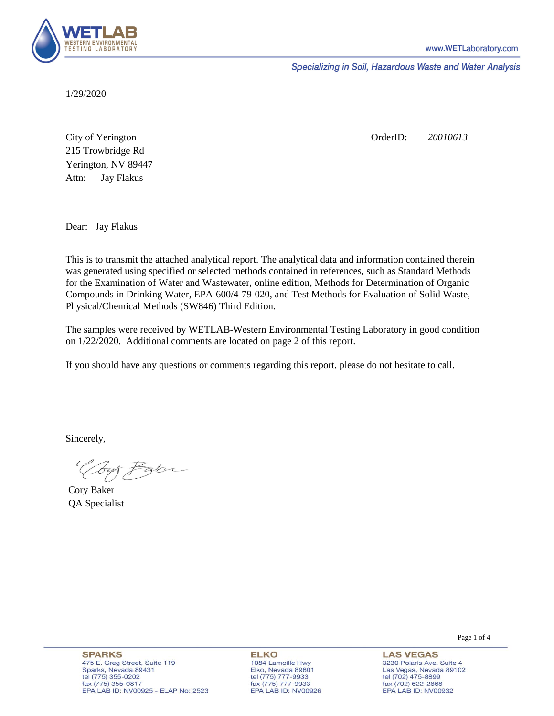

Specializing in Soil, Hazardous Waste and Water Analysis

1/29/2020

Attn: City of Yerington 215 Trowbridge Rd Jay Flakus Yerington, NV 89447 OrderID: *20010613*

Dear: Jay Flakus

This is to transmit the attached analytical report. The analytical data and information contained therein was generated using specified or selected methods contained in references, such as Standard Methods for the Examination of Water and Wastewater, online edition, Methods for Determination of Organic Compounds in Drinking Water, EPA-600/4-79-020, and Test Methods for Evaluation of Solid Waste, Physical/Chemical Methods (SW846) Third Edition.

The samples were received by WETLAB-Western Environmental Testing Laboratory in good condition on 1/22/2020. Additional comments are located on page 2 of this report.

If you should have any questions or comments regarding this report, please do not hesitate to call.

Sincerely,

Your Parker

Cory Baker QA Specialist

**SPARKS** 475 E. Greg Street, Suite 119 Sparks, Nevada 89431 tel (775) 355-0202 fax (775) 355-0817 EPA LAB ID: NV00925 - ELAP No: 2523

**ELKO** 1084 Lamoille Hwy Elko, Nevada 89801 tel (775) 777-9933<br>fax (775) 777-9933 EPA LAB ID: NV00926 Page 1 of 4

**LAS VEGAS** 3230 Polaris Ave. Suite 4 Las Vegas, Nevada 89102 tel (702) 475-8899 fax (702) 622-2868 EPA LAB ID: NV00932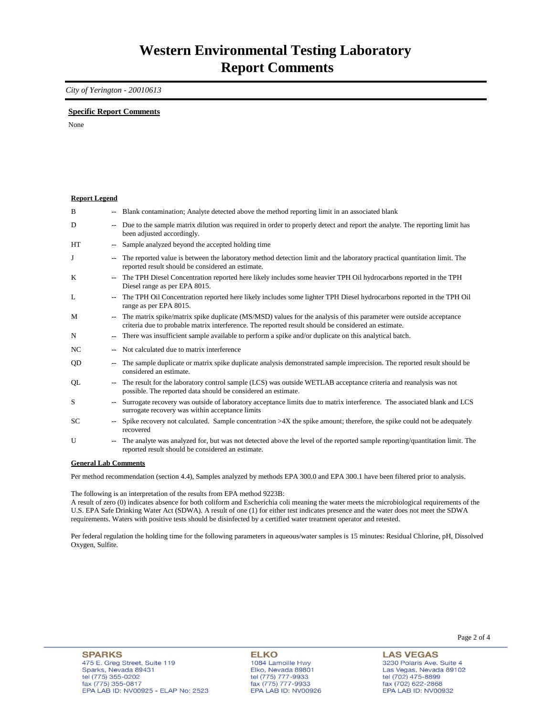## *City of Yerington - 20010613*

## **Specific Report Comments**

None

| <b>Report Legend</b> |    |                                                                                                                                                                                                                              |
|----------------------|----|------------------------------------------------------------------------------------------------------------------------------------------------------------------------------------------------------------------------------|
| B                    |    | -- Blank contamination; Analyte detected above the method reporting limit in an associated blank                                                                                                                             |
| D                    | ۰. | Due to the sample matrix dilution was required in order to properly detect and report the analyte. The reporting limit has<br>been adjusted accordingly.                                                                     |
| <b>HT</b>            |    | Sample analyzed beyond the accepted holding time                                                                                                                                                                             |
| J                    | -- | The reported value is between the laboratory method detection limit and the laboratory practical quantitation limit. The<br>reported result should be considered an estimate.                                                |
| K                    |    | The TPH Diesel Concentration reported here likely includes some heavier TPH Oil hydrocarbons reported in the TPH<br>Diesel range as per EPA 8015.                                                                            |
| L                    |    | The TPH Oil Concentration reported here likely includes some lighter TPH Diesel hydrocarbons reported in the TPH Oil<br>range as per EPA 8015.                                                                               |
| M                    |    | -- The matrix spike/matrix spike duplicate (MS/MSD) values for the analysis of this parameter were outside acceptance<br>criteria due to probable matrix interference. The reported result should be considered an estimate. |
| N                    | ۰. | There was insufficient sample available to perform a spike and/or duplicate on this analytical batch.                                                                                                                        |
| NC.                  |    | Not calculated due to matrix interference                                                                                                                                                                                    |
| QD                   | ۰. | The sample duplicate or matrix spike duplicate analysis demonstrated sample imprecision. The reported result should be<br>considered an estimate.                                                                            |
| QL                   |    | The result for the laboratory control sample (LCS) was outside WETLAB acceptance criteria and reanalysis was not<br>possible. The reported data should be considered an estimate.                                            |
| S                    |    | Surrogate recovery was outside of laboratory acceptance limits due to matrix interference. The associated blank and LCS<br>surrogate recovery was within acceptance limits                                                   |
| SC.                  |    | Spike recovery not calculated. Sample concentration $>4X$ the spike amount; therefore, the spike could not be adequately<br>recovered                                                                                        |
| U                    | ۰. | The analyte was analyzed for, but was not detected above the level of the reported sample reporting/quantitation limit. The<br>reported result should be considered an estimate.                                             |
| Conoral Lah Commonte |    |                                                                                                                                                                                                                              |

**General Lab Comments**

Per method recommendation (section 4.4), Samples analyzed by methods EPA 300.0 and EPA 300.1 have been filtered prior to analysis.

The following is an interpretation of the results from EPA method 9223B:

A result of zero (0) indicates absence for both coliform and Escherichia coli meaning the water meets the microbiological requirements of the U.S. EPA Safe Drinking Water Act (SDWA). A result of one (1) for either test indicates presence and the water does not meet the SDWA requirements. Waters with positive tests should be disinfected by a certified water treatment operator and retested.

Per federal regulation the holding time for the following parameters in aqueous/water samples is 15 minutes: Residual Chlorine, pH, Dissolved Oxygen, Sulfite.

**LAS VEGAS** 3230 Polaris Ave. Suite 4 Las Vegas, Nevada 89102 tel (702) 475-8899 fax (702) 47 3-8899<br>fax (702) 622-2868<br>EPA LAB ID: NV00932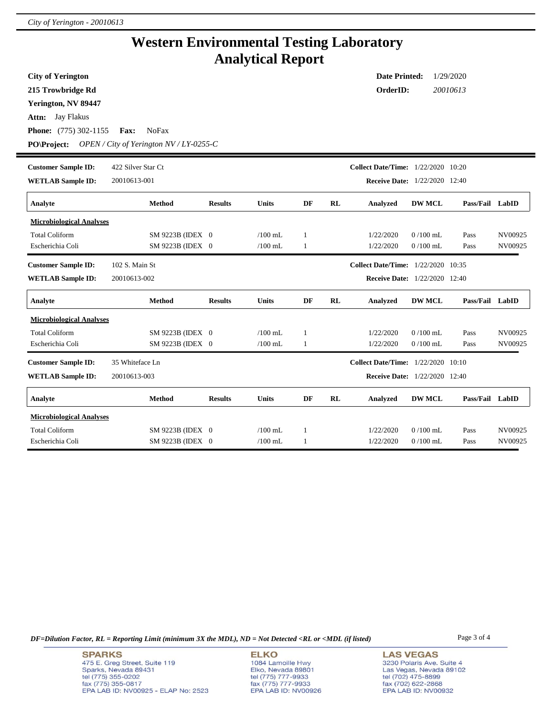## **Western Environmental Testing Laboratory Analytical Report**

| <b>City of Yerington</b>        |                                           |                |              |    |    | <b>Date Printed:</b>                      |               | 1/29/2020       |         |
|---------------------------------|-------------------------------------------|----------------|--------------|----|----|-------------------------------------------|---------------|-----------------|---------|
| 215 Trowbridge Rd               |                                           |                |              |    |    | OrderID:                                  |               | 20010613        |         |
| Yerington, NV 89447             |                                           |                |              |    |    |                                           |               |                 |         |
| <b>Attn:</b> Jay Flakus         |                                           |                |              |    |    |                                           |               |                 |         |
| <b>Phone:</b> (775) 302-1155    | NoFax<br>Fax:                             |                |              |    |    |                                           |               |                 |         |
| <b>PO\Project:</b>              | OPEN / City of Yerington $N V/LY$ -0255-C |                |              |    |    |                                           |               |                 |         |
| <b>Customer Sample ID:</b>      | 422 Silver Star Ct                        |                |              |    |    | <b>Collect Date/Time:</b> 1/22/2020 10:20 |               |                 |         |
| <b>WETLAB Sample ID:</b>        | 20010613-001                              |                |              |    |    | <b>Receive Date:</b> 1/22/2020 12:40      |               |                 |         |
| Analyte                         | <b>Method</b>                             | <b>Results</b> | <b>Units</b> | DF | RL | <b>Analyzed</b>                           | <b>DW MCL</b> | Pass/Fail LabID |         |
| <b>Microbiological Analyses</b> |                                           |                |              |    |    |                                           |               |                 |         |
| <b>Total Coliform</b>           | SM 9223B (IDEX 0                          |                | $/100$ mL    | 1  |    | 1/22/2020                                 | $0/100$ mL    | Pass            | NV00925 |
| Escherichia Coli                | SM 9223B (IDEX 0                          |                | $/100$ mL    | 1  |    | 1/22/2020                                 | $0/100$ mL    | Pass            | NV00925 |
| <b>Customer Sample ID:</b>      | 102 S. Main St                            |                |              |    |    | <b>Collect Date/Time:</b> 1/22/2020 10:35 |               |                 |         |
| <b>WETLAB Sample ID:</b>        | 20010613-002                              |                |              |    |    | <b>Receive Date:</b> 1/22/2020 12:40      |               |                 |         |
| Analyte                         | <b>Method</b>                             | <b>Results</b> | <b>Units</b> | DF | RL | Analyzed                                  | <b>DW MCL</b> | Pass/Fail LabID |         |
| <b>Microbiological Analyses</b> |                                           |                |              |    |    |                                           |               |                 |         |
| <b>Total Coliform</b>           | SM 9223B (IDEX 0                          |                | $/100$ mL    | 1  |    | 1/22/2020                                 | $0/100$ mL    | Pass            | NV00925 |
| Escherichia Coli                | SM 9223B (IDEX 0                          |                | $/100$ mL    | 1  |    | 1/22/2020                                 | $0/100$ mL    | Pass            | NV00925 |
| <b>Customer Sample ID:</b>      | 35 Whiteface Ln                           |                |              |    |    | <b>Collect Date/Time:</b> 1/22/2020 10:10 |               |                 |         |
| <b>WETLAB Sample ID:</b>        | 20010613-003                              |                |              |    |    | <b>Receive Date:</b> 1/22/2020 12:40      |               |                 |         |
| Analyte                         | Method                                    | <b>Results</b> | <b>Units</b> | DF | RL | Analyzed                                  | <b>DW MCL</b> | Pass/Fail LabID |         |
| <b>Microbiological Analyses</b> |                                           |                |              |    |    |                                           |               |                 |         |
| <b>Total Coliform</b>           | SM 9223B (IDEX 0                          |                | $/100$ mL    | -1 |    | 1/22/2020                                 | $0/100$ mL    | Pass            | NV00925 |
| Escherichia Coli                | SM 9223B (IDEX 0                          |                | $/100$ mL    | 1  |    | 1/22/2020                                 | $0/100$ mL    | Pass            | NV00925 |

*DF=Dilution Factor, RL = Reporting Limit (minimum 3X the MDL), ND = Not Detected <RL or <MDL (if listed)* Page 3 of 4

**SPARKS** 475 E. Greg Street, Suite 119 Sparks, Nevada 89431<br>tel (775) 355-0202<br>fax (775) 355-0817 EPA LAB ID: NV00925 - ELAP No: 2523

**ELKO** 1084 Lamoille Hwy Polyton, Nevada 89801<br>tel (775) 777-9933<br>fax (775) 777-9933<br>EPA LAB ID: NV00926

**LAS VEGAS** 3230 Polaris Ave. Suite 4 Las Vegas, Nevada 89102<br>tel (702) 475-8899<br>fax (702) 622-2868<br>EPA LAB ID: NV00932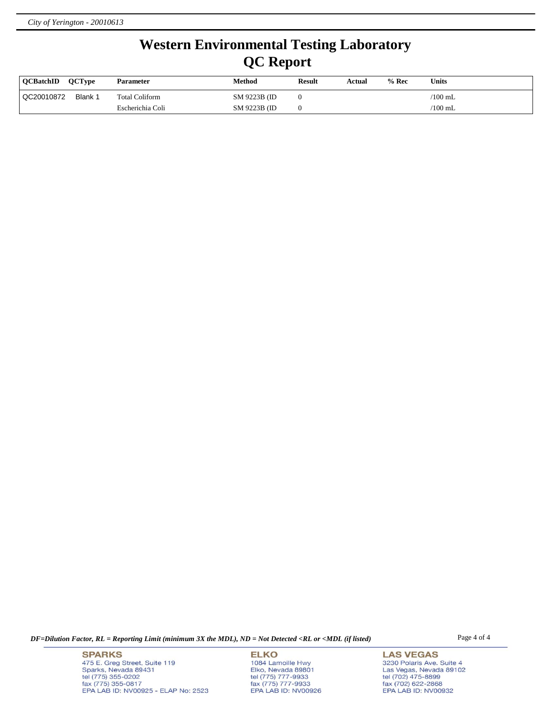## **Western Environmental Testing Laboratory QC Report**

| <b>OCBatchID</b> | <b>OCTvpe</b> | <b>Parameter</b> | Method        | <b>Result</b> | Actual | $%$ Rec | <b>Units</b> |
|------------------|---------------|------------------|---------------|---------------|--------|---------|--------------|
| QC20010872       | Blank 1       | Total Coliform   | SM 9223B (ID) |               |        |         | $'100$ mL    |
|                  |               | Escherichia Coli | SM 9223B (ID) |               |        |         | $'100$ mL    |

*DF=Dilution Factor, RL = Reporting Limit (minimum 3X the MDL), ND = Not Detected <RL or <MDL (if listed)* Page 4 of 4

**SPARKS** 475 E. Greg Street, Suite 119 Sparks, Nevada 89431<br>tel (775) 355-0202<br>fax (775) 355-0817 EPA LAB ID: NV00925 - ELAP No: 2523

**ELKO** 1084 Lamoille Hwy Polyton, Nevada 89801<br>tel (775) 777-9933<br>fax (775) 777-9933<br>EPA LAB ID: NV00926

**LAS VEGAS** 3230 Polaris Ave. Suite 4 Las Vegas, Nevada 89102<br>tel (702) 475-8899<br>fax (702) 622-2868<br>EPA LAB ID: NV00932